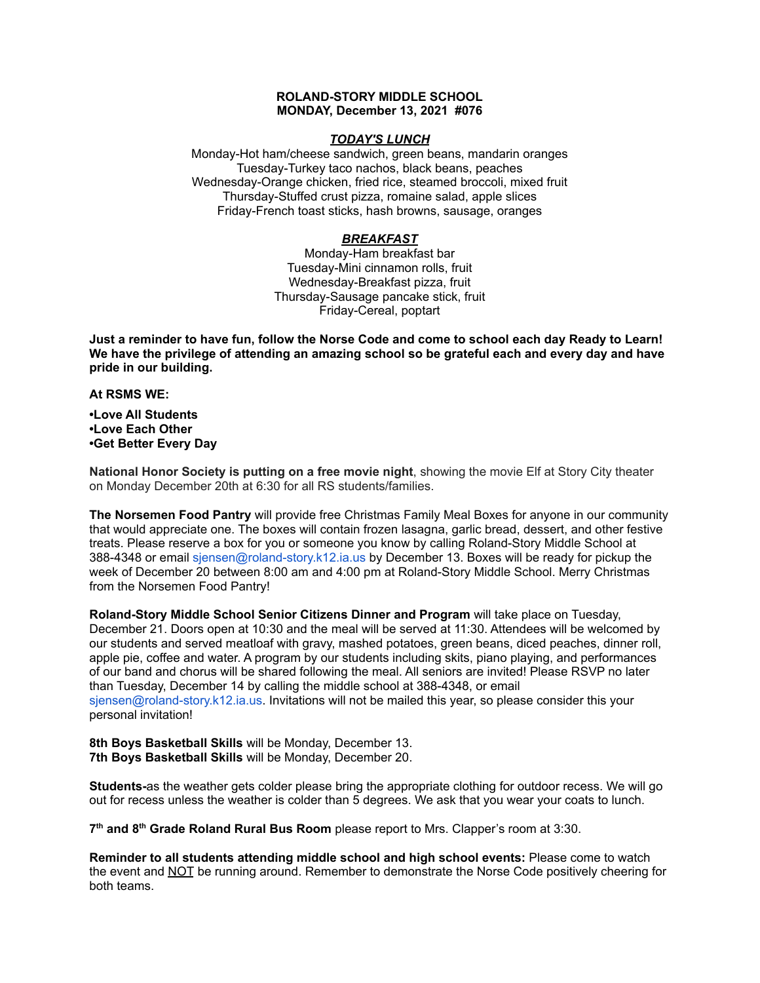## **ROLAND-STORY MIDDLE SCHOOL MONDAY, December 13, 2021 #076**

## *TODAY'S LUNCH*

Monday-Hot ham/cheese sandwich, green beans, mandarin oranges Tuesday-Turkey taco nachos, black beans, peaches Wednesday-Orange chicken, fried rice, steamed broccoli, mixed fruit Thursday-Stuffed crust pizza, romaine salad, apple slices Friday-French toast sticks, hash browns, sausage, oranges

# *BREAKFAST*

Monday-Ham breakfast bar Tuesday-Mini cinnamon rolls, fruit Wednesday-Breakfast pizza, fruit Thursday-Sausage pancake stick, fruit Friday-Cereal, poptart

Just a reminder to have fun, follow the Norse Code and come to school each day Ready to Learn! **We have the privilege of attending an amazing school so be grateful each and every day and have pride in our building.**

**At RSMS WE:**

**•Love All Students •Love Each Other •Get Better Every Day**

**National Honor Society is putting on a free movie night**, showing the movie Elf at Story City theater on Monday December 20th at 6:30 for all RS students/families.

**The Norsemen Food Pantry** will provide free Christmas Family Meal Boxes for anyone in our community that would appreciate one. The boxes will contain frozen lasagna, garlic bread, dessert, and other festive treats. Please reserve a box for you or someone you know by calling Roland-Story Middle School at 388-4348 or email sjensen@roland-story.k12.ia.us by December 13. Boxes will be ready for pickup the week of December 20 between 8:00 am and 4:00 pm at Roland-Story Middle School. Merry Christmas from the Norsemen Food Pantry!

**Roland-Story Middle School Senior Citizens Dinner and Program** will take place on Tuesday, December 21. Doors open at 10:30 and the meal will be served at 11:30. Attendees will be welcomed by our students and served meatloaf with gravy, mashed potatoes, green beans, diced peaches, dinner roll, apple pie, coffee and water. A program by our students including skits, piano playing, and performances of our band and chorus will be shared following the meal. All seniors are invited! Please RSVP no later than Tuesday, December 14 by calling the middle school at 388-4348, or email sjensen@roland-story.k12.ia.us. Invitations will not be mailed this year, so please consider this your personal invitation!

**8th Boys Basketball Skills** will be Monday, December 13. **7th Boys Basketball Skills** will be Monday, December 20.

**Students-**as the weather gets colder please bring the appropriate clothing for outdoor recess. We will go out for recess unless the weather is colder than 5 degrees. We ask that you wear your coats to lunch.

**7 th and 8 th Grade Roland Rural Bus Room** please report to Mrs. Clapper's room at 3:30.

**Reminder to all students attending middle school and high school events:** Please come to watch the event and NOT be running around. Remember to demonstrate the Norse Code positively cheering for both teams.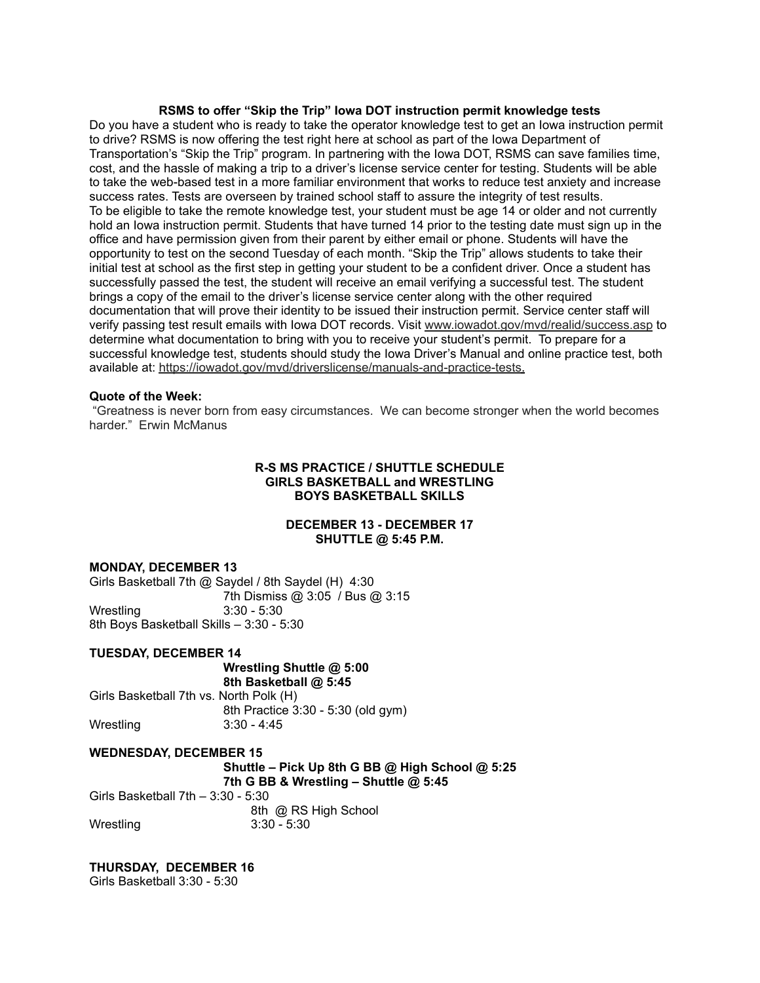## **RSMS to offer "Skip the Trip" Iowa DOT instruction permit knowledge tests**

Do you have a student who is ready to take the operator knowledge test to get an Iowa instruction permit to drive? RSMS is now offering the test right here at school as part of the Iowa Department of Transportation's "Skip the Trip" program. In partnering with the Iowa DOT, RSMS can save families time, cost, and the hassle of making a trip to a driver's license service center for testing. Students will be able to take the web-based test in a more familiar environment that works to reduce test anxiety and increase success rates. Tests are overseen by trained school staff to assure the integrity of test results. To be eligible to take the remote knowledge test, your student must be age 14 or older and not currently hold an Iowa instruction permit. Students that have turned 14 prior to the testing date must sign up in the office and have permission given from their parent by either email or phone. Students will have the opportunity to test on the second Tuesday of each month. "Skip the Trip" allows students to take their initial test at school as the first step in getting your student to be a confident driver. Once a student has successfully passed the test, the student will receive an email verifying a successful test. The student brings a copy of the email to the driver's license service center along with the other required documentation that will prove their identity to be issued their instruction permit. Service center staff will verify passing test result emails with Iowa DOT records. Visit [www.iowadot.gov/mvd/realid/success.asp](http://www.iowadot.gov/mvd/realid/success.asp) to determine what documentation to bring with you to receive your student's permit. To prepare for a successful knowledge test, students should study the Iowa Driver's Manual and online practice test, both available at: <https://iowadot.gov/mvd/driverslicense/manuals-and-practice-tests>.

## **Quote of the Week:**

"Greatness is never born from easy circumstances. We can become stronger when the world becomes harder." Erwin McManus

# **R-S MS PRACTICE / SHUTTLE SCHEDULE GIRLS BASKETBALL and WRESTLING BOYS BASKETBALL SKILLS**

# **DECEMBER 13 - DECEMBER 17 SHUTTLE @ 5:45 P.M.**

#### **MONDAY, DECEMBER 13**

Girls Basketball 7th @ Saydel / 8th Saydel (H) 4:30 7th Dismiss @ 3:05 / Bus @ 3:15 Wrestling 3:30 - 5:30 8th Boys Basketball Skills – 3:30 - 5:30

#### **TUESDAY, DECEMBER 14**

**Wrestling Shuttle @ 5:00 8th Basketball @ 5:45** Girls Basketball 7th vs. North Polk (H) 8th Practice 3:30 - 5:30 (old gym) Wrestling 3:30 - 4:45

#### **WEDNESDAY, DECEMBER 15**

**Shuttle – Pick Up 8th G BB @ High School @ 5:25 7th G BB & Wrestling – Shuttle @ 5:45**

Girls Basketball 7th – 3:30 - 5:30 8th @ RS High School Wrestling 3:30 - 5:30

#### **THURSDAY, DECEMBER 16**

Girls Basketball 3:30 - 5:30